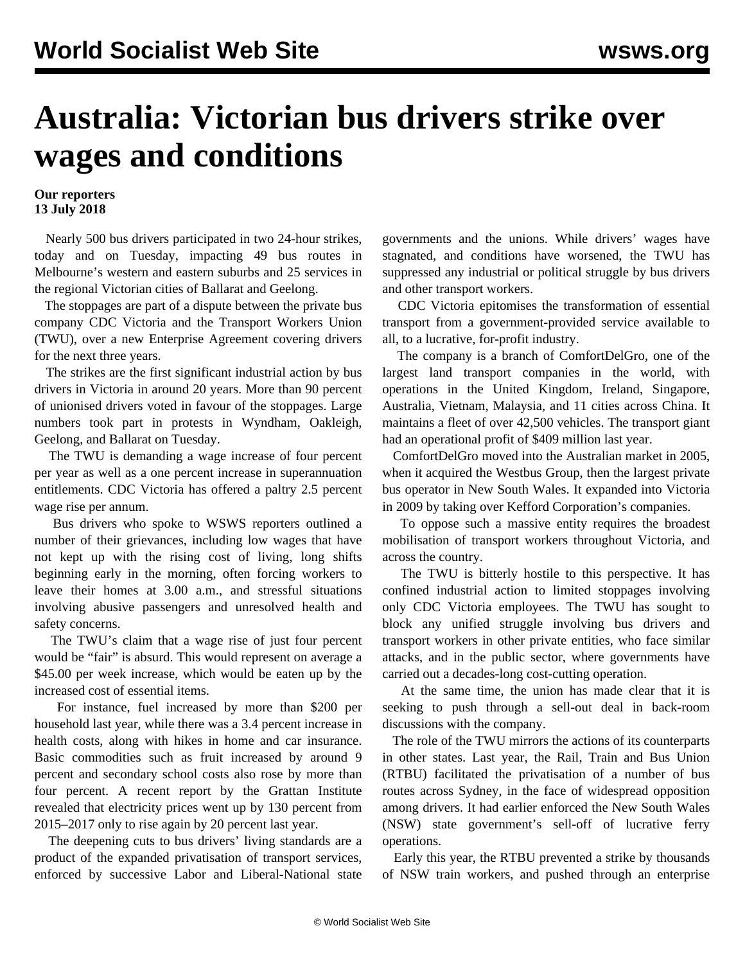## **Australia: Victorian bus drivers strike over wages and conditions**

## **Our reporters 13 July 2018**

 Nearly 500 bus drivers participated in two 24-hour strikes, today and on Tuesday, impacting 49 bus routes in Melbourne's western and eastern suburbs and 25 services in the regional Victorian cities of Ballarat and Geelong.

 The stoppages are part of a dispute between the private bus company CDC Victoria and the Transport Workers Union (TWU), over a new Enterprise Agreement covering drivers for the next three years.

 The strikes are the first significant industrial action by bus drivers in Victoria in around 20 years. More than 90 percent of unionised drivers voted in favour of the stoppages. Large numbers took part in protests in Wyndham, Oakleigh, Geelong, and Ballarat on Tuesday.

 The TWU is demanding a wage increase of four percent per year as well as a one percent increase in superannuation entitlements. CDC Victoria has offered a paltry 2.5 percent wage rise per annum.

 Bus drivers who spoke to WSWS reporters outlined a number of their grievances, including low wages that have not kept up with the rising cost of living, long shifts beginning early in the morning, often forcing workers to leave their homes at 3.00 a.m., and stressful situations involving abusive passengers and unresolved health and safety concerns.

 The TWU's claim that a wage rise of just four percent would be "fair" is absurd. This would represent on average a \$45.00 per week increase, which would be eaten up by the increased cost of essential items.

 For instance, fuel increased by more than \$200 per household last year, while there was a 3.4 percent increase in health costs, along with hikes in home and car insurance. Basic commodities such as fruit increased by around 9 percent and secondary school costs also rose by more than four percent. A recent report by the Grattan Institute revealed that electricity prices went up by 130 percent from 2015–2017 only to rise again by 20 percent last year.

 The deepening cuts to bus drivers' living standards are a product of the expanded privatisation of transport services, enforced by successive Labor and Liberal-National state governments and the unions. While drivers' wages have stagnated, and conditions have worsened, the TWU has suppressed any industrial or political struggle by bus drivers and other transport workers.

 CDC Victoria epitomises the transformation of essential transport from a government-provided service available to all, to a lucrative, for-profit industry.

 The company is a branch of ComfortDelGro, one of the largest land transport companies in the world, with operations in the United Kingdom, Ireland, Singapore, Australia, Vietnam, Malaysia, and 11 cities across China. It maintains a fleet of over 42,500 vehicles. The transport giant had an operational profit of \$409 million last year.

 ComfortDelGro moved into the Australian market in 2005, when it acquired the Westbus Group, then the largest private bus operator in New South Wales. It expanded into Victoria in 2009 by taking over Kefford Corporation's companies.

 To oppose such a massive entity requires the broadest mobilisation of transport workers throughout Victoria, and across the country.

 The TWU is bitterly hostile to this perspective. It has confined industrial action to limited stoppages involving only CDC Victoria employees. The TWU has sought to block any unified struggle involving bus drivers and transport workers in other private entities, who face similar attacks, and in the public sector, where governments have carried out a decades-long cost-cutting operation.

 At the same time, the union has made clear that it is seeking to push through a sell-out deal in back-room discussions with the company.

 The role of the TWU mirrors the actions of its counterparts in other states. Last year, the Rail, Train and Bus Union (RTBU) facilitated the privatisation of a number of bus routes across Sydney, in the face of widespread opposition among drivers. It had earlier enforced the New South Wales (NSW) state government's sell-off of lucrative ferry operations.

 Early this year, the RTBU prevented a strike by thousands of NSW train workers, and pushed through an enterprise